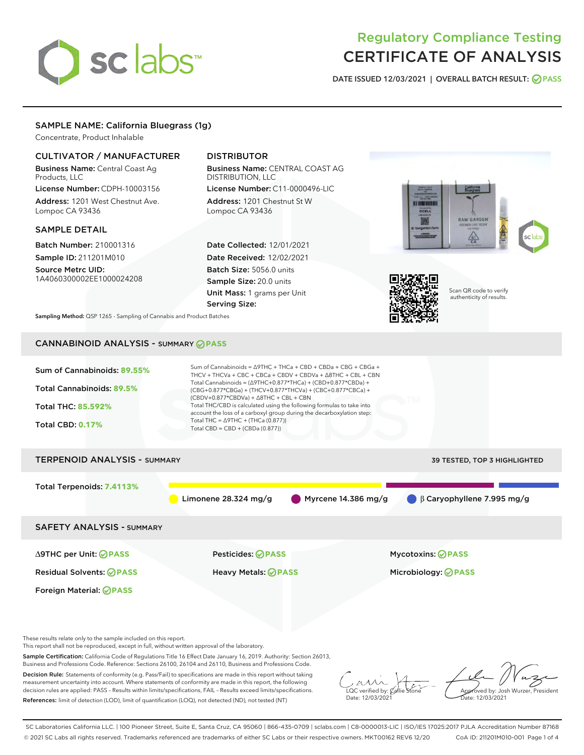# sclabs<sup>\*</sup>

# Regulatory Compliance Testing CERTIFICATE OF ANALYSIS

DATE ISSUED 12/03/2021 | OVERALL BATCH RESULT: @ PASS

# SAMPLE NAME: California Bluegrass (1g)

Concentrate, Product Inhalable

# CULTIVATOR / MANUFACTURER

Business Name: Central Coast Ag Products, LLC

License Number: CDPH-10003156 Address: 1201 West Chestnut Ave. Lompoc CA 93436

# SAMPLE DETAIL

Batch Number: 210001316 Sample ID: 211201M010

Source Metrc UID: 1A4060300002EE1000024208

# DISTRIBUTOR

Business Name: CENTRAL COAST AG DISTRIBUTION, LLC License Number: C11-0000496-LIC

Address: 1201 Chestnut St W Lompoc CA 93436

Date Collected: 12/01/2021 Date Received: 12/02/2021 Batch Size: 5056.0 units Sample Size: 20.0 units Unit Mass: 1 grams per Unit Serving Size:





Scan QR code to verify authenticity of results.

Sampling Method: QSP 1265 - Sampling of Cannabis and Product Batches

# CANNABINOID ANALYSIS - SUMMARY **PASS**



These results relate only to the sample included on this report.

This report shall not be reproduced, except in full, without written approval of the laboratory.

Sample Certification: California Code of Regulations Title 16 Effect Date January 16, 2019. Authority: Section 26013, Business and Professions Code. Reference: Sections 26100, 26104 and 26110, Business and Professions Code.

Decision Rule: Statements of conformity (e.g. Pass/Fail) to specifications are made in this report without taking measurement uncertainty into account. Where statements of conformity are made in this report, the following decision rules are applied: PASS – Results within limits/specifications, FAIL – Results exceed limits/specifications. References: limit of detection (LOD), limit of quantification (LOQ), not detected (ND), not tested (NT)

 $\overline{\text{C}}$  verified by:  $\mathcal C$ Date: 12/03/2021

**A**<br>Approved by: Josh Wurzer, President ate: 12/03/2021

SC Laboratories California LLC. | 100 Pioneer Street, Suite E, Santa Cruz, CA 95060 | 866-435-0709 | sclabs.com | C8-0000013-LIC | ISO/IES 17025:2017 PJLA Accreditation Number 87168 © 2021 SC Labs all rights reserved. Trademarks referenced are trademarks of either SC Labs or their respective owners. MKT00162 REV6 12/20 CoA ID: 211201M010-001 Page 1 of 4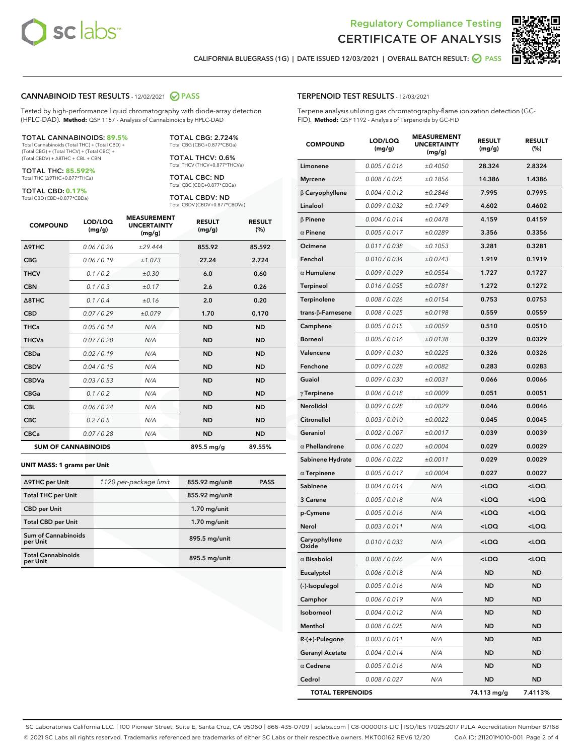



RESULT (%)

CALIFORNIA BLUEGRASS (1G) | DATE ISSUED 12/03/2021 | OVERALL BATCH RESULT:  $\bigcirc$  PASS

#### CANNABINOID TEST RESULTS - 12/02/2021 2 PASS

Tested by high-performance liquid chromatography with diode-array detection (HPLC-DAD). **Method:** QSP 1157 - Analysis of Cannabinoids by HPLC-DAD

#### TOTAL CANNABINOIDS: **89.5%**

Total Cannabinoids (Total THC) + (Total CBD) + (Total CBG) + (Total THCV) + (Total CBC) + (Total CBDV) + ∆8THC + CBL + CBN

TOTAL THC: **85.592%** Total THC (∆9THC+0.877\*THCa)

TOTAL CBD: **0.17%**

Total CBD (CBD+0.877\*CBDa)

TOTAL CBG: 2.724% Total CBG (CBG+0.877\*CBGa)

TOTAL THCV: 0.6% Total THCV (THCV+0.877\*THCVa)

TOTAL CBC: ND Total CBC (CBC+0.877\*CBCa)

TOTAL CBDV: ND Total CBDV (CBDV+0.877\*CBDVa)

| <b>COMPOUND</b>            | LOD/LOQ<br>(mg/g) | <b>MEASUREMENT</b><br><b>UNCERTAINTY</b><br>(mg/g) | <b>RESULT</b><br>(mg/g) | <b>RESULT</b><br>(%) |
|----------------------------|-------------------|----------------------------------------------------|-------------------------|----------------------|
| <b>A9THC</b>               | 0.06/0.26         | ±29.444                                            | 855.92                  | 85.592               |
| <b>CBG</b>                 | 0.06/0.19         | ±1.073                                             | 27.24                   | 2.724                |
| <b>THCV</b>                | 0.1 / 0.2         | ±0.30                                              | 6.0                     | 0.60                 |
| <b>CBN</b>                 | 0.1/0.3           | ±0.17                                              | 2.6                     | 0.26                 |
| $\triangle$ 8THC           | 0.1 / 0.4         | ±0.16                                              | 2.0                     | 0.20                 |
| <b>CBD</b>                 | 0.07/0.29         | ±0.079                                             | 1.70                    | 0.170                |
| <b>THCa</b>                | 0.05/0.14         | N/A                                                | <b>ND</b>               | <b>ND</b>            |
| <b>THCVa</b>               | 0.07/0.20         | N/A                                                | <b>ND</b>               | <b>ND</b>            |
| <b>CBDa</b>                | 0.02/0.19         | N/A                                                | <b>ND</b>               | <b>ND</b>            |
| <b>CBDV</b>                | 0.04/0.15         | N/A                                                | <b>ND</b>               | <b>ND</b>            |
| <b>CBDVa</b>               | 0.03/0.53         | N/A                                                | <b>ND</b>               | <b>ND</b>            |
| <b>CBGa</b>                | 0.1 / 0.2         | N/A                                                | <b>ND</b>               | <b>ND</b>            |
| <b>CBL</b>                 | 0.06 / 0.24       | N/A                                                | <b>ND</b>               | <b>ND</b>            |
| <b>CBC</b>                 | 0.2 / 0.5         | N/A                                                | <b>ND</b>               | <b>ND</b>            |
| <b>CBCa</b>                | 0.07 / 0.28       | N/A                                                | <b>ND</b>               | <b>ND</b>            |
| <b>SUM OF CANNABINOIDS</b> |                   |                                                    | 895.5 mg/g              | 89.55%               |

#### **UNIT MASS: 1 grams per Unit**

| ∆9THC per Unit                        | 1120 per-package limit | 855.92 mg/unit | <b>PASS</b> |
|---------------------------------------|------------------------|----------------|-------------|
| <b>Total THC per Unit</b>             |                        | 855.92 mg/unit |             |
| <b>CBD</b> per Unit                   |                        | $1.70$ mg/unit |             |
| <b>Total CBD per Unit</b>             |                        | $1.70$ mg/unit |             |
| Sum of Cannabinoids<br>per Unit       |                        | 895.5 mg/unit  |             |
| <b>Total Cannabinoids</b><br>per Unit |                        | 895.5 mg/unit  |             |

|                        | ung/g/        | (mg/g)  | ung/g/                                           | $\sqrt{9}$          |
|------------------------|---------------|---------|--------------------------------------------------|---------------------|
| Limonene               | 0.005 / 0.016 | ±0.4050 | 28.324                                           | 2.8324              |
| <b>Myrcene</b>         | 0.008 / 0.025 | ±0.1856 | 14.386                                           | 1.4386              |
| $\beta$ Caryophyllene  | 0.004 / 0.012 | ±0.2846 | 7.995                                            | 0.7995              |
| Linalool               | 0.009 / 0.032 | ±0.1749 | 4.602                                            | 0.4602              |
| $\beta$ Pinene         | 0.004 / 0.014 | ±0.0478 | 4.159                                            | 0.4159              |
| $\alpha$ Pinene        | 0.005 / 0.017 | ±0.0289 | 3.356                                            | 0.3356              |
| Ocimene                | 0.011 / 0.038 | ±0.1053 | 3.281                                            | 0.3281              |
| Fenchol                | 0.010 / 0.034 | ±0.0743 | 1.919                                            | 0.1919              |
| $\alpha$ Humulene      | 0.009 / 0.029 | ±0.0554 | 1.727                                            | 0.1727              |
| <b>Terpineol</b>       | 0.016 / 0.055 | ±0.0781 | 1.272                                            | 0.1272              |
| Terpinolene            | 0.008 / 0.026 | ±0.0154 | 0.753                                            | 0.0753              |
| trans-β-Farnesene      | 0.008 / 0.025 | ±0.0198 | 0.559                                            | 0.0559              |
| Camphene               | 0.005 / 0.015 | ±0.0059 | 0.510                                            | 0.0510              |
| <b>Borneol</b>         | 0.005 / 0.016 | ±0.0138 | 0.329                                            | 0.0329              |
| Valencene              | 0.009 / 0.030 | ±0.0225 | 0.326                                            | 0.0326              |
| Fenchone               | 0.009 / 0.028 | ±0.0082 | 0.283                                            | 0.0283              |
| Guaiol                 | 0.009 / 0.030 | ±0.0031 | 0.066                                            | 0.0066              |
| $\gamma$ Terpinene     | 0.006 / 0.018 | ±0.0009 | 0.051                                            | 0.0051              |
| Nerolidol              | 0.009 / 0.028 | ±0.0029 | 0.046                                            | 0.0046              |
| Citronellol            | 0.003 / 0.010 | ±0.0022 | 0.045                                            | 0.0045              |
| Geraniol               | 0.002 / 0.007 | ±0.0017 | 0.039                                            | 0.0039              |
| $\alpha$ Phellandrene  | 0.006 / 0.020 | ±0.0004 | 0.029                                            | 0.0029              |
| Sabinene Hydrate       | 0.006 / 0.022 | ±0.0011 | 0.029                                            | 0.0029              |
| $\alpha$ Terpinene     | 0.005 / 0.017 | ±0.0004 | 0.027                                            | 0.0027              |
| Sabinene               | 0.004 / 0.014 | N/A     | <loq< th=""><th><loq< th=""></loq<></th></loq<>  | <loq< th=""></loq<> |
| 3 Carene               | 0.005 / 0.018 | N/A     | <loq< th=""><th><loq< th=""></loq<></th></loq<>  | <loq< th=""></loq<> |
| p-Cymene               | 0.005 / 0.016 | N/A     | <loq< th=""><th><loq< th=""></loq<></th></loq<>  | <loq< th=""></loq<> |
| Nerol                  | 0.003 / 0.011 | N/A     | <loq< th=""><th><loq< th=""></loq<></th></loq<>  | <loq< th=""></loq<> |
| Caryophyllene<br>Oxide | 0.010 / 0.033 | N/A     | <loq< th=""><th><math>&lt;</math>LOQ</th></loq<> | $<$ LOQ             |
| $\alpha$ Bisabolol     | 0.008 / 0.026 | N/A     | <loq< th=""><th><loq< th=""></loq<></th></loq<>  | <loq< th=""></loq<> |
| Eucalyptol             | 0.006 / 0.018 | N/A     | <b>ND</b>                                        | <b>ND</b>           |
| (-)-Isopulegol         | 0.005 / 0.016 | N/A     | ND                                               | ND                  |
| Camphor                | 0.006/0.019   | N/A     | <b>ND</b>                                        | <b>ND</b>           |

Isoborneol 0.004 / 0.012 N/A ND ND Menthol 0.008 / 0.025 N/A ND ND R-(+)-Pulegone 0.003 / 0.011 N/A ND ND Geranyl Acetate  $0.004 / 0.014$  N/A ND ND  $\alpha$  Cedrene  $0.005 / 0.016$  N/A ND ND Cedrol 0.008 / 0.027 N/A ND ND TOTAL TERPENOIDS 74.113 mg/g 7.4113%

SC Laboratories California LLC. | 100 Pioneer Street, Suite E, Santa Cruz, CA 95060 | 866-435-0709 | sclabs.com | C8-0000013-LIC | ISO/IES 17025:2017 PJLA Accreditation Number 87168 © 2021 SC Labs all rights reserved. Trademarks referenced are trademarks of either SC Labs or their respective owners. MKT00162 REV6 12/20 CoA ID: 211201M010-001 Page 2 of 4

# TERPENOID TEST RESULTS - 12/03/2021

(mg/g)

COMPOUND LOD/LOQ

Terpene analysis utilizing gas chromatography-flame ionization detection (GC-FID). **Method:** QSP 1192 - Analysis of Terpenoids by GC-FID

> MEASUREMENT UNCERTAINTY

RESULT (mg/g)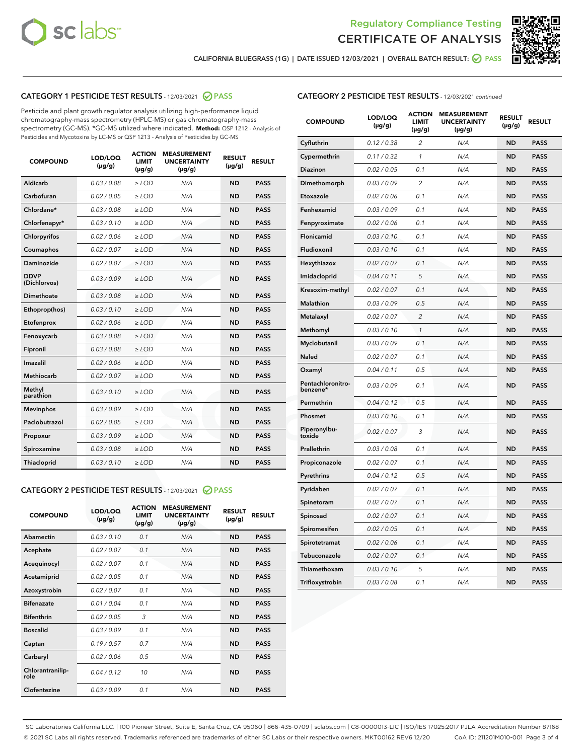



CALIFORNIA BLUEGRASS (1G) | DATE ISSUED 12/03/2021 | OVERALL BATCH RESULT:  $\bigcirc$  PASS

# CATEGORY 1 PESTICIDE TEST RESULTS - 12/03/2021 2 PASS

Pesticide and plant growth regulator analysis utilizing high-performance liquid chromatography-mass spectrometry (HPLC-MS) or gas chromatography-mass spectrometry (GC-MS). \*GC-MS utilized where indicated. **Method:** QSP 1212 - Analysis of Pesticides and Mycotoxins by LC-MS or QSP 1213 - Analysis of Pesticides by GC-MS

| <b>COMPOUND</b>             | LOD/LOQ<br>$(\mu g/g)$ | <b>ACTION</b><br><b>LIMIT</b><br>$(\mu g/g)$ | <b>MEASUREMENT</b><br><b>UNCERTAINTY</b><br>$(\mu g/g)$ | <b>RESULT</b><br>$(\mu g/g)$ | <b>RESULT</b> |
|-----------------------------|------------------------|----------------------------------------------|---------------------------------------------------------|------------------------------|---------------|
| Aldicarb                    | 0.03 / 0.08            | $\geq$ LOD                                   | N/A                                                     | <b>ND</b>                    | <b>PASS</b>   |
| Carbofuran                  | 0.02 / 0.05            | $>$ LOD                                      | N/A                                                     | <b>ND</b>                    | <b>PASS</b>   |
| Chlordane*                  | 0.03 / 0.08            | $\ge$ LOD                                    | N/A                                                     | <b>ND</b>                    | <b>PASS</b>   |
| Chlorfenapyr*               | 0.03/0.10              | $>$ LOD                                      | N/A                                                     | <b>ND</b>                    | <b>PASS</b>   |
| Chlorpyrifos                | 0.02 / 0.06            | ≥ LOD                                        | N/A                                                     | <b>ND</b>                    | <b>PASS</b>   |
| Coumaphos                   | 0.02 / 0.07            | $\ge$ LOD                                    | N/A                                                     | <b>ND</b>                    | <b>PASS</b>   |
| Daminozide                  | 0.02 / 0.07            | $\geq$ LOD                                   | N/A                                                     | <b>ND</b>                    | <b>PASS</b>   |
| <b>DDVP</b><br>(Dichlorvos) | 0.03/0.09              | $\geq$ LOD                                   | N/A                                                     | <b>ND</b>                    | <b>PASS</b>   |
| Dimethoate                  | 0.03 / 0.08            | $>$ LOD                                      | N/A                                                     | <b>ND</b>                    | <b>PASS</b>   |
| Ethoprop(hos)               | 0.03/0.10              | $\ge$ LOD                                    | N/A                                                     | <b>ND</b>                    | <b>PASS</b>   |
| Etofenprox                  | 0.02 / 0.06            | $>$ LOD                                      | N/A                                                     | <b>ND</b>                    | <b>PASS</b>   |
| Fenoxycarb                  | 0.03 / 0.08            | $\geq$ LOD                                   | N/A                                                     | <b>ND</b>                    | <b>PASS</b>   |
| Fipronil                    | 0.03/0.08              | $>$ LOD                                      | N/A                                                     | <b>ND</b>                    | <b>PASS</b>   |
| Imazalil                    | 0.02 / 0.06            | $\geq$ LOD                                   | N/A                                                     | <b>ND</b>                    | <b>PASS</b>   |
| <b>Methiocarb</b>           | 0.02 / 0.07            | $\ge$ LOD                                    | N/A                                                     | <b>ND</b>                    | <b>PASS</b>   |
| Methyl<br>parathion         | 0.03/0.10              | $\geq$ LOD                                   | N/A                                                     | <b>ND</b>                    | <b>PASS</b>   |
| <b>Mevinphos</b>            | 0.03/0.09              | $>$ LOD                                      | N/A                                                     | <b>ND</b>                    | <b>PASS</b>   |
| Paclobutrazol               | 0.02 / 0.05            | $\geq$ LOD                                   | N/A                                                     | <b>ND</b>                    | <b>PASS</b>   |
| Propoxur                    | 0.03/0.09              | $\ge$ LOD                                    | N/A                                                     | <b>ND</b>                    | <b>PASS</b>   |
| Spiroxamine                 | 0.03 / 0.08            | $\ge$ LOD                                    | N/A                                                     | <b>ND</b>                    | <b>PASS</b>   |
| Thiacloprid                 | 0.03/0.10              | $\geq$ LOD                                   | N/A                                                     | <b>ND</b>                    | <b>PASS</b>   |

# CATEGORY 2 PESTICIDE TEST RESULTS - 12/03/2021 @ PASS

| <b>COMPOUND</b>          | LOD/LOQ<br>$(\mu g/g)$ | <b>ACTION</b><br>LIMIT<br>$(\mu g/g)$ | <b>MEASUREMENT</b><br><b>UNCERTAINTY</b><br>$(\mu g/g)$ | <b>RESULT</b><br>$(\mu g/g)$ | <b>RESULT</b> |
|--------------------------|------------------------|---------------------------------------|---------------------------------------------------------|------------------------------|---------------|
| Abamectin                | 0.03/0.10              | 0.1                                   | N/A                                                     | <b>ND</b>                    | <b>PASS</b>   |
| Acephate                 | 0.02/0.07              | 0.1                                   | N/A                                                     | <b>ND</b>                    | <b>PASS</b>   |
| Acequinocyl              | 0.02/0.07              | 0.1                                   | N/A                                                     | <b>ND</b>                    | <b>PASS</b>   |
| Acetamiprid              | 0.02/0.05              | 0.1                                   | N/A                                                     | <b>ND</b>                    | <b>PASS</b>   |
| Azoxystrobin             | 0.02/0.07              | 0.1                                   | N/A                                                     | <b>ND</b>                    | <b>PASS</b>   |
| <b>Bifenazate</b>        | 0.01 / 0.04            | 0.1                                   | N/A                                                     | <b>ND</b>                    | <b>PASS</b>   |
| <b>Bifenthrin</b>        | 0.02/0.05              | 3                                     | N/A                                                     | <b>ND</b>                    | <b>PASS</b>   |
| <b>Boscalid</b>          | 0.03/0.09              | 0.1                                   | N/A                                                     | <b>ND</b>                    | <b>PASS</b>   |
| Captan                   | 0.19/0.57              | 0.7                                   | N/A                                                     | <b>ND</b>                    | <b>PASS</b>   |
| Carbaryl                 | 0.02/0.06              | 0.5                                   | N/A                                                     | <b>ND</b>                    | <b>PASS</b>   |
| Chlorantranilip-<br>role | 0.04/0.12              | 10                                    | N/A                                                     | <b>ND</b>                    | <b>PASS</b>   |
| Clofentezine             | 0.03/0.09              | 0.1                                   | N/A                                                     | <b>ND</b>                    | <b>PASS</b>   |

| <b>CATEGORY 2 PESTICIDE TEST RESULTS</b> - 12/03/2021 continued |  |  |
|-----------------------------------------------------------------|--|--|
|                                                                 |  |  |

| <b>COMPOUND</b>               | LOD/LOQ<br>(µg/g) | <b>ACTION</b><br>LIMIT<br>(µg/g) | <b>MEASUREMENT</b><br><b>UNCERTAINTY</b><br>$(\mu g/g)$ | <b>RESULT</b><br>(µg/g) | <b>RESULT</b> |
|-------------------------------|-------------------|----------------------------------|---------------------------------------------------------|-------------------------|---------------|
| Cyfluthrin                    | 0.12 / 0.38       | $\overline{c}$                   | N/A                                                     | <b>ND</b>               | <b>PASS</b>   |
| Cypermethrin                  | 0.11/0.32         | 1                                | N/A                                                     | <b>ND</b>               | <b>PASS</b>   |
| <b>Diazinon</b>               | 0.02 / 0.05       | 0.1                              | N/A                                                     | <b>ND</b>               | <b>PASS</b>   |
| Dimethomorph                  | 0.03 / 0.09       | 2                                | N/A                                                     | ND                      | <b>PASS</b>   |
| Etoxazole                     | 0.02 / 0.06       | 0.1                              | N/A                                                     | ND                      | <b>PASS</b>   |
| Fenhexamid                    | 0.03 / 0.09       | 0.1                              | N/A                                                     | <b>ND</b>               | <b>PASS</b>   |
| Fenpyroximate                 | 0.02 / 0.06       | 0.1                              | N/A                                                     | <b>ND</b>               | <b>PASS</b>   |
| Flonicamid                    | 0.03/0.10         | 0.1                              | N/A                                                     | <b>ND</b>               | <b>PASS</b>   |
| Fludioxonil                   | 0.03/0.10         | 0.1                              | N/A                                                     | <b>ND</b>               | <b>PASS</b>   |
| Hexythiazox                   | 0.02 / 0.07       | 0.1                              | N/A                                                     | <b>ND</b>               | <b>PASS</b>   |
| Imidacloprid                  | 0.04 / 0.11       | 5                                | N/A                                                     | <b>ND</b>               | <b>PASS</b>   |
| Kresoxim-methyl               | 0.02 / 0.07       | 0.1                              | N/A                                                     | ND                      | <b>PASS</b>   |
| <b>Malathion</b>              | 0.03 / 0.09       | 0.5                              | N/A                                                     | <b>ND</b>               | <b>PASS</b>   |
| Metalaxyl                     | 0.02 / 0.07       | $\overline{c}$                   | N/A                                                     | ND                      | <b>PASS</b>   |
| Methomyl                      | 0.03 / 0.10       | 1                                | N/A                                                     | <b>ND</b>               | <b>PASS</b>   |
| Myclobutanil                  | 0.03 / 0.09       | 0.1                              | N/A                                                     | <b>ND</b>               | <b>PASS</b>   |
| Naled                         | 0.02 / 0.07       | 0.1                              | N/A                                                     | <b>ND</b>               | <b>PASS</b>   |
| Oxamyl                        | 0.04 / 0.11       | 0.5                              | N/A                                                     | ND                      | <b>PASS</b>   |
| Pentachloronitro-<br>benzene* | 0.03 / 0.09       | 0.1                              | N/A                                                     | ND                      | <b>PASS</b>   |
| Permethrin                    | 0.04 / 0.12       | 0.5                              | N/A                                                     | <b>ND</b>               | <b>PASS</b>   |
| Phosmet                       | 0.03 / 0.10       | 0.1                              | N/A                                                     | <b>ND</b>               | <b>PASS</b>   |
| Piperonylbu-<br>toxide        | 0.02 / 0.07       | 3                                | N/A                                                     | <b>ND</b>               | <b>PASS</b>   |
| Prallethrin                   | 0.03 / 0.08       | 0.1                              | N/A                                                     | <b>ND</b>               | <b>PASS</b>   |
| Propiconazole                 | 0.02 / 0.07       | 0.1                              | N/A                                                     | <b>ND</b>               | <b>PASS</b>   |
| Pyrethrins                    | 0.04 / 0.12       | 0.5                              | N/A                                                     | <b>ND</b>               | <b>PASS</b>   |
| Pyridaben                     | 0.02 / 0.07       | 0.1                              | N/A                                                     | ND                      | <b>PASS</b>   |
| Spinetoram                    | 0.02 / 0.07       | 0.1                              | N/A                                                     | <b>ND</b>               | <b>PASS</b>   |
| Spinosad                      | 0.02 / 0.07       | 0.1                              | N/A                                                     | <b>ND</b>               | <b>PASS</b>   |
| Spiromesifen                  | 0.02 / 0.05       | 0.1                              | N/A                                                     | ND                      | PASS          |
| Spirotetramat                 | 0.02 / 0.06       | 0.1                              | N/A                                                     | <b>ND</b>               | <b>PASS</b>   |
| Tebuconazole                  | 0.02 / 0.07       | 0.1                              | N/A                                                     | <b>ND</b>               | <b>PASS</b>   |
| Thiamethoxam                  | 0.03 / 0.10       | 5                                | N/A                                                     | ND                      | <b>PASS</b>   |
| Trifloxystrobin               | 0.03 / 0.08       | 0.1                              | N/A                                                     | ND                      | <b>PASS</b>   |

SC Laboratories California LLC. | 100 Pioneer Street, Suite E, Santa Cruz, CA 95060 | 866-435-0709 | sclabs.com | C8-0000013-LIC | ISO/IES 17025:2017 PJLA Accreditation Number 87168 © 2021 SC Labs all rights reserved. Trademarks referenced are trademarks of either SC Labs or their respective owners. MKT00162 REV6 12/20 CoA ID: 211201M010-001 Page 3 of 4